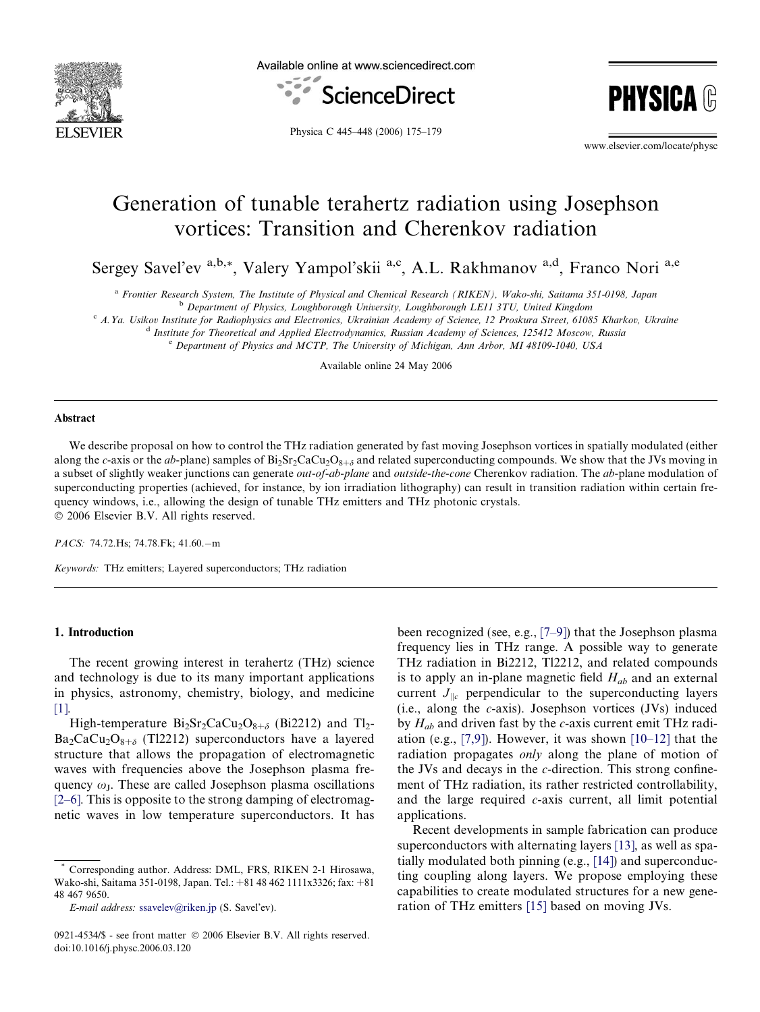

Available online at www.sciencedirect.com





Physica C 445–448 (2006) 175–179

www.elsevier.com/locate/physc

# Generation of tunable terahertz radiation using Josephson vortices: Transition and Cherenkov radiation

Sergey Savel'ev a,b,\*, Valery Yampol'skii a,c, A.L. Rakhmanov a,d, Franco Nori a,e

a Frontier Research System, The Institute of Physical and Chemical Research (RIKEN), Wako-shi, Saitama 351-0198, Japan

<sup>b</sup> Department of Physics, Loughborough University, Loughborough LE11 3TU, United Kingdom

 $c$  A.Ya. Usikov Institute for Radiophysics and Electronics, Ukrainian Academy of Science, 12 Proskura Street, 61085 Kharkov, Ukraine

<sup>d</sup> Institute for Theoretical and Applied Electrodynamics, Russian Academy of Sciences, 125412 Moscow, Russia

<sup>e</sup> Department of Physics and MCTP, The University of Michigan, Ann Arbor, MI 48109-1040, USA

Available online 24 May 2006

#### Abstract

We describe proposal on how to control the THz radiation generated by fast moving Josephson vortices in spatially modulated (either along the c-axis or the ab-plane) samples of  $Bi_2Sr_2CaCu_2O_{8+\delta}$  and related superconducting compounds. We show that the JVs moving in a subset of slightly weaker junctions can generate *out-of-ab-plane* and *outside-the-cone* Cherenkov radiation. The *ab-plane* modulation of superconducting properties (achieved, for instance, by ion irradiation lithography) can result in transition radiation within certain frequency windows, i.e., allowing the design of tunable THz emitters and THz photonic crystals. © 2006 Elsevier B.V. All rights reserved.

PACS: 74.72.Hs; 74.78.Fk; 41.60.-m

Keywords: THz emitters; Layered superconductors; THz radiation

## 1. Introduction

The recent growing interest in terahertz (THz) science and technology is due to its many important applications in physics, astronomy, chemistry, biology, and medicine [\[1\].](#page-4-0)

High-temperature  $Bi_2Sr_2CaCu_2O_{8+\delta}$  (Bi2212) and Tl<sub>2</sub>- $Ba_2CaCu_2O_{8+\delta}$  (Tl2212) superconductors have a layered structure that allows the propagation of electromagnetic waves with frequencies above the Josephson plasma frequency  $\omega_{\rm L}$ . These are called Josephson plasma oscillations [\[2–6\].](#page-4-0) This is opposite to the strong damping of electromagnetic waves in low temperature superconductors. It has been recognized (see, e.g., [\[7–9\]\)](#page-4-0) that the Josephson plasma frequency lies in THz range. A possible way to generate THz radiation in Bi2212, Tl2212, and related compounds is to apply an in-plane magnetic field  $H_{ab}$  and an external current  $J_{\parallel c}$  perpendicular to the superconducting layers (i.e., along the c-axis). Josephson vortices (JVs) induced by  $H_{ab}$  and driven fast by the c-axis current emit THz radiation (e.g., [\[7,9\]\)](#page-4-0). However, it was shown [\[10–12\]](#page-4-0) that the radiation propagates only along the plane of motion of the JVs and decays in the c-direction. This strong confinement of THz radiation, its rather restricted controllability, and the large required  $c$ -axis current, all limit potential applications.

Recent developments in sample fabrication can produce superconductors with alternating layers [\[13\]](#page-4-0), as well as spatially modulated both pinning (e.g., [\[14\]\)](#page-4-0) and superconducting coupling along layers. We propose employing these capabilities to create modulated structures for a new generation of THz emitters [\[15\]](#page-4-0) based on moving JVs.

Corresponding author. Address: DML, FRS, RIKEN 2-1 Hirosawa, Wako-shi, Saitama 351-0198, Japan. Tel.: +81 48 462 1111x3326; fax: +81 48 467 9650.

E-mail address: [ssavelev@riken.jp](mailto:ssavelev@riken.jp) (S. Savel'ev).

<sup>0921-4534/\$ -</sup> see front matter © 2006 Elsevier B.V. All rights reserved. doi:10.1016/j.physc.2006.03.120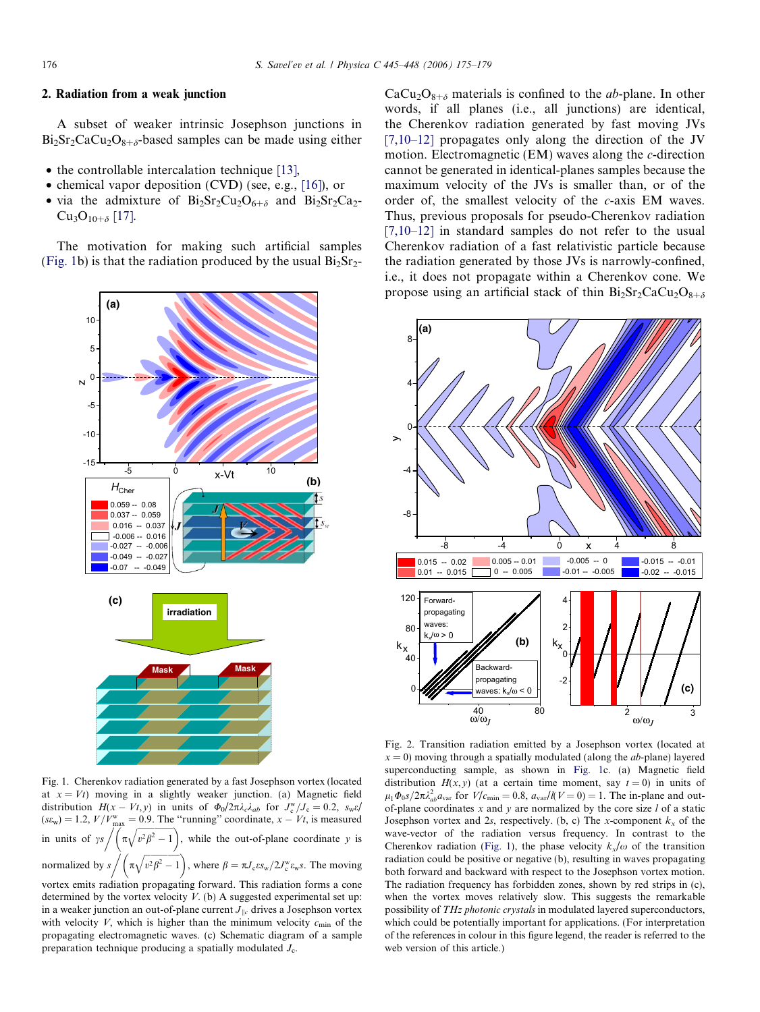## <span id="page-1-0"></span>2. Radiation from a weak junction

A subset of weaker intrinsic Josephson junctions in  $Bi<sub>2</sub>Sr<sub>2</sub>CaCu<sub>2</sub>O<sub>8+\delta</sub>$ -based samples can be made using either

- the controllable intercalation technique [\[13\],](#page-4-0)
- chemical vapor deposition (CVD) (see, e.g., [\[16\]\)](#page-4-0), or
- via the admixture of  $Bi_2Sr_2Cu_2O_{6+\delta}$  and  $Bi_2Sr_2Ca_2$ - $Cu_3O_{10+\delta}$  [\[17\]](#page-4-0).

The motivation for making such artificial samples (Fig. 1b) is that the radiation produced by the usual  $Bi<sub>2</sub>Sr<sub>2</sub>$ -



Fig. 1. Cherenkov radiation generated by a fast Josephson vortex (located at  $x = Vt$ ) moving in a slightly weaker junction. (a) Magnetic field distribution  $H(x - Vt, y)$  in units of  $\Phi_0/2\pi\lambda_c\lambda_{ab}$  for  $J_c^{\text{w}}/J_c = 0.2$ ,  $s_w \varepsilon$ /  $(s\epsilon_{w}) = 1.2, V/V_{\text{max}}^{w} = 0.9$ . The "running" coordinate,  $x - Vt$ , is measured in units of  $\gamma s$  /  $\pi$  $\sqrt{v^2\beta^2-1}$  $\frac{max}{11}$ , while the out-of-plane coordinate  $y$  is normalized by  $s$  $\frac{1}{(v^2\beta^2-1)}$  $\frac{1}{11}$ , where  $\beta = \pi J_c \varepsilon s_w / 2J_c^w \varepsilon_w s$ . The moving vortex emits radiation propagating forward. This radiation forms a cone determined by the vortex velocity  $V$ . (b) A suggested experimental set up: in a weaker junction an out-of-plane current  $J_{\parallel c}$  drives a Josephson vortex with velocity V, which is higher than the minimum velocity  $c_{\min}$  of the propagating electromagnetic waves. (c) Schematic diagram of a sample preparation technique producing a spatially modulated  $J_c$ .

 $CaCu<sub>2</sub>O<sub>8+\delta</sub>$  materials is confined to the *ab*-plane. In other words, if all planes (i.e., all junctions) are identical, the Cherenkov radiation generated by fast moving JVs [\[7,10–12\]](#page-4-0) propagates only along the direction of the JV motion. Electromagnetic  $(EM)$  waves along the c-direction cannot be generated in identical-planes samples because the maximum velocity of the JVs is smaller than, or of the order of, the smallest velocity of the c-axis EM waves. Thus, previous proposals for pseudo-Cherenkov radiation [\[7,10–12\]](#page-4-0) in standard samples do not refer to the usual Cherenkov radiation of a fast relativistic particle because the radiation generated by those JVs is narrowly-confined, i.e., it does not propagate within a Cherenkov cone. We propose using an artificial stack of thin  $Bi_2Sr_2CaCu_2O_{8+\delta}$ 



Fig. 2. Transition radiation emitted by a Josephson vortex (located at  $x = 0$ ) moving through a spatially modulated (along the *ab*-plane) layered superconducting sample, as shown in Fig. 1c. (a) Magnetic field distribution  $H(x, y)$  (at a certain time moment, say  $t = 0$ ) in units of  $\mu_1 \Phi_0 s / 2\pi \lambda_{ab}^2 a_{\text{var}}$  for  $V/c_{\text{min}} = 0.8$ ,  $a_{\text{var}}/l(V=0) = 1$ . The in-plane and outof-plane coordinates x and y are normalized by the core size  $l$  of a static Josephson vortex and 2s, respectively. (b, c) The x-component  $k_x$  of the wave-vector of the radiation versus frequency. In contrast to the Cherenkov radiation (Fig. 1), the phase velocity  $k_x/\omega$  of the transition radiation could be positive or negative (b), resulting in waves propagating both forward and backward with respect to the Josephson vortex motion. The radiation frequency has forbidden zones, shown by red strips in (c), when the vortex moves relatively slow. This suggests the remarkable possibility of THz photonic crystals in modulated layered superconductors, which could be potentially important for applications. (For interpretation of the references in colour in this figure legend, the reader is referred to the web version of this article.)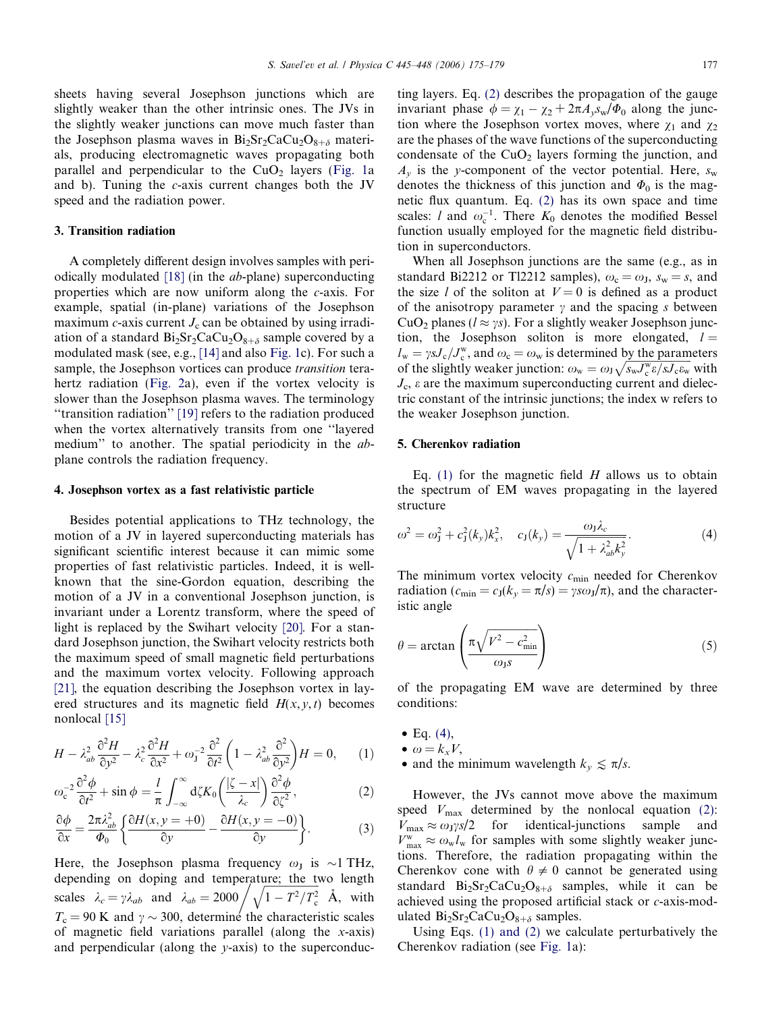<span id="page-2-0"></span>sheets having several Josephson junctions which are slightly weaker than the other intrinsic ones. The JVs in the slightly weaker junctions can move much faster than the Josephson plasma waves in  $Bi_2Sr_2CaCu_2O_{8+\delta}$  materials, producing electromagnetic waves propagating both parallel and perpendicular to the  $CuO<sub>2</sub>$  layers [\(Fig. 1a](#page-1-0) and b). Tuning the c-axis current changes both the JV speed and the radiation power.

## 3. Transition radiation

A completely different design involves samples with periodically modulated [\[18\]](#page-4-0) (in the ab-plane) superconducting properties which are now uniform along the c-axis. For example, spatial (in-plane) variations of the Josephson maximum  $c$ -axis current  $J_c$  can be obtained by using irradiation of a standard  $Bi_2Sr_2CaCu_2O_{8+\delta}$  sample covered by a modulated mask (see, e.g., [\[14\]](#page-4-0) and also [Fig. 1c](#page-1-0)). For such a sample, the Josephson vortices can produce *transition* terahertz radiation [\(Fig. 2a](#page-1-0)), even if the vortex velocity is slower than the Josephson plasma waves. The terminology ''transition radiation'' [\[19\]](#page-4-0) refers to the radiation produced when the vortex alternatively transits from one ''layered medium" to another. The spatial periodicity in the *ab*plane controls the radiation frequency.

# 4. Josephson vortex as a fast relativistic particle

Besides potential applications to THz technology, the motion of a JV in layered superconducting materials has significant scientific interest because it can mimic some properties of fast relativistic particles. Indeed, it is wellknown that the sine-Gordon equation, describing the motion of a JV in a conventional Josephson junction, is invariant under a Lorentz transform, where the speed of light is replaced by the Swihart velocity [\[20\].](#page-4-0) For a standard Josephson junction, the Swihart velocity restricts both the maximum speed of small magnetic field perturbations and the maximum vortex velocity. Following approach [\[21\],](#page-4-0) the equation describing the Josephson vortex in layered structures and its magnetic field  $H(x, y, t)$  becomes nonlocal [\[15\]](#page-4-0)

$$
H - \lambda_{ab}^2 \frac{\partial^2 H}{\partial y^2} - \lambda_c^2 \frac{\partial^2 H}{\partial x^2} + \omega_j^{-2} \frac{\partial^2}{\partial t^2} \left( 1 - \lambda_{ab}^2 \frac{\partial^2}{\partial y^2} \right) H = 0, \quad (1)
$$

$$
\omega_{\mathbf{c}}^{-2} \frac{\partial^2 \phi}{\partial t^2} + \sin \phi = \frac{l}{\pi} \int_{-\infty}^{\infty} d\zeta K_0 \left( \frac{|\zeta - x|}{\lambda_c} \right) \frac{\partial^2 \phi}{\partial \zeta^2},\tag{2}
$$

$$
\frac{\partial \phi}{\partial x} = \frac{2\pi \lambda_{ab}^2}{\Phi_0} \left\{ \frac{\partial H(x, y = +0)}{\partial y} - \frac{\partial H(x, y = -0)}{\partial y} \right\}.
$$
 (3)

Here, the Josephson plasma frequency  $\omega_I$  is  $\sim$ 1 THz, depending on doping and temperature; the two length scales  $\lambda_c = \gamma \lambda_{ab}$  and  $\lambda_{ab} = 2000$  $\frac{110, \text{ the}}{2}$  $1 - T^2/T_c^2$  Å, with  $T_c = 90$  K and  $\gamma \sim 300$ , determine the characteristic scales of magnetic field variations parallel (along the x-axis) and perpendicular (along the y-axis) to the superconducting layers. Eq. (2) describes the propagation of the gauge invariant phase  $\phi = \chi_1 - \chi_2 + 2\pi A_y s_w / \Phi_0$  along the junction where the Josephson vortex moves, where  $\chi_1$  and  $\chi_2$ are the phases of the wave functions of the superconducting condensate of the  $CuO<sub>2</sub>$  layers forming the junction, and  $A<sub>v</sub>$  is the y-component of the vector potential. Here,  $s<sub>w</sub>$ denotes the thickness of this junction and  $\Phi_0$  is the magnetic flux quantum. Eq. (2) has its own space and time scales: *l* and  $\omega_c^{-1}$ . There  $K_0$  denotes the modified Bessel function usually employed for the magnetic field distribution in superconductors.

When all Josephson junctions are the same (e.g., as in standard Bi2212 or Tl2212 samples),  $\omega_c = \omega_J$ ,  $s_w = s$ , and the size l of the soliton at  $V = 0$  is defined as a product of the anisotropy parameter  $\gamma$  and the spacing s between  $CuO<sub>2</sub>$  planes ( $l \approx \gamma s$ ). For a slightly weaker Josephson junction, the Josephson soliton is more elongated,  $l =$  $l_w = \gamma s J_c / J_c^w$ , and  $\omega_c = \omega_w$  is determined by the parameters  $v_w = r s \frac{\partial c}{\partial s}$ , and  $\omega_c = \omega_w$  is determined by the parameters of the slightly weaker junction:  $\omega_w = \omega_J \sqrt{s_w} \frac{V}{\sqrt{c}} \frac{\partial c}{\partial s} J_c \frac{\partial c}{\partial s}$  with  $J_c$ ,  $\varepsilon$  are the maximum superconducting current and dielectric constant of the intrinsic junctions; the index w refers to the weaker Josephson junction.

## 5. Cherenkov radiation

Eq. (1) for the magnetic field  $H$  allows us to obtain the spectrum of EM waves propagating in the layered structure

$$
\omega^2 = \omega_{\rm J}^2 + c_{\rm J}^2(k_{\rm y})k_x^2, \quad c_{\rm J}(k_{\rm y}) = \frac{\omega_{\rm J}\lambda_c}{\sqrt{1 + \lambda_{ab}^2k_y^2}}.\tag{4}
$$

The minimum vortex velocity  $c_{\min}$  needed for Cherenkov radiation ( $c_{\min} = c_J(k_y = \pi/s) = \gamma s \omega_J/\pi$ ), and the characteristic angle

$$
\theta = \arctan\left(\frac{\pi\sqrt{V^2 - c_{\min}^2}}{\omega_{\text{JS}}}\right) \tag{5}
$$

of the propagating EM wave are determined by three conditions:

- Eq.  $(4)$ ,
- $\omega = k_x V$ ,
- and the minimum wavelength  $k_v \lesssim \pi/s$ .

However, the JVs cannot move above the maximum speed  $V_{\text{max}}$  determined by the nonlocal equation (2):  $V_{\text{max}} \approx \omega_J \gamma s/2$  for identical-junctions sample and  $V_{\text{max}}^{\text{w}} \approx \omega_{\text{w}} l_{\text{w}}$  for samples with some slightly weaker junctions. Therefore, the radiation propagating within the Cherenkov cone with  $\theta \neq 0$  cannot be generated using standard  $Bi_2Sr_2CaCu_2O_{8+\delta}$  samples, while it can be achieved using the proposed artificial stack or c-axis-modulated  $Bi_2Sr_2CaCu_2O_{8+\delta}$  samples.

Using Eqs. (1) and (2) we calculate perturbatively the Cherenkov radiation (see [Fig. 1a](#page-1-0)):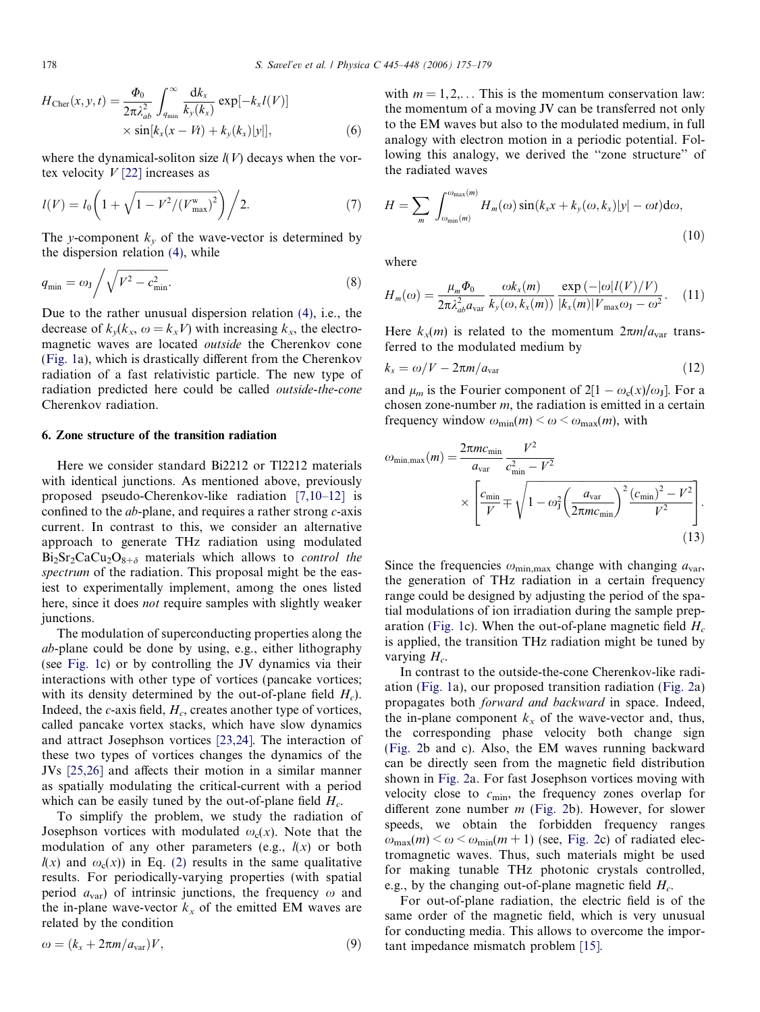$$
H_{\text{Cher}}(x, y, t) = \frac{\Phi_0}{2\pi\lambda_{ab}^2} \int_{q_{\text{min}}}^{\infty} \frac{dk_x}{k_y(k_x)} \exp[-k_x l(V)]
$$
  
 
$$
\times \sin[k_x(x - Vt) + k_y(k_x)|y|], \qquad (6)
$$

where the dynamical-soliton size  $l(V)$  decays when the vortex velocity  $V$  [\[22\]](#page-4-0) increases as

$$
l(V) = l_0 \left( 1 + \sqrt{1 - V^2 / (V_{\text{max}}^{\text{w}})^2} \right) / 2. \tag{7}
$$

The y-component  $k<sub>v</sub>$  of the wave-vector is determined by the dispersion relation [\(4\),](#page-2-0) while

$$
q_{\min} = \omega_J / \sqrt{V^2 - c_{\min}^2}.
$$
\n(8)

Due to the rather unusual dispersion relation [\(4\)](#page-2-0), i.e., the decrease of  $k_y(k_x, \omega = k_x V)$  with increasing  $k_x$ , the electromagnetic waves are located outside the Cherenkov cone [\(Fig. 1a](#page-1-0)), which is drastically different from the Cherenkov radiation of a fast relativistic particle. The new type of radiation predicted here could be called outside-the-cone Cherenkov radiation.

## 6. Zone structure of the transition radiation

Here we consider standard Bi2212 or Tl2212 materials with identical junctions. As mentioned above, previously proposed pseudo-Cherenkov-like radiation [\[7,10–12\]](#page-4-0) is confined to the  $ab$ -plane, and requires a rather strong  $c$ -axis current. In contrast to this, we consider an alternative approach to generate THz radiation using modulated  $Bi_2Sr_2CaCu_2O_{8+\delta}$  materials which allows to *control the* spectrum of the radiation. This proposal might be the easiest to experimentally implement, among the ones listed here, since it does *not* require samples with slightly weaker junctions.

The modulation of superconducting properties along the ab-plane could be done by using, e.g., either lithography (see [Fig. 1c](#page-1-0)) or by controlling the JV dynamics via their interactions with other type of vortices (pancake vortices; with its density determined by the out-of-plane field  $H_c$ ). Indeed, the  $c$ -axis field,  $H_c$ , creates another type of vortices, called pancake vortex stacks, which have slow dynamics and attract Josephson vortices [\[23,24\].](#page-4-0) The interaction of these two types of vortices changes the dynamics of the JVs [\[25,26\]](#page-4-0) and affects their motion in a similar manner as spatially modulating the critical-current with a period which can be easily tuned by the out-of-plane field  $H_c$ .

To simplify the problem, we study the radiation of Josephson vortices with modulated  $\omega_c(x)$ . Note that the modulation of any other parameters (e.g.,  $l(x)$  or both  $l(x)$  and  $\omega_c(x)$  in Eq. (2) results in the same qualitative results. For periodically-varying properties (with spatial period  $a_{\text{var}}$  of intrinsic junctions, the frequency  $\omega$  and the in-plane wave-vector  $k_x$  of the emitted EM waves are related by the condition

$$
\omega = (k_x + 2\pi m/a_{\text{var}})V,\tag{9}
$$

with  $m = 1, 2, \ldots$  This is the momentum conservation law: the momentum of a moving JV can be transferred not only to the EM waves but also to the modulated medium, in full analogy with electron motion in a periodic potential. Following this analogy, we derived the ''zone structure'' of the radiated waves

$$
H = \sum_{m} \int_{\omega_{\min}(m)}^{\omega_{\max}(m)} H_{m}(\omega) \sin(k_{x}x + k_{y}(\omega, k_{x})|y| - \omega t) d\omega,
$$
\n(10)

where

$$
H_m(\omega) = \frac{\mu_m \Phi_0}{2\pi \lambda_{ab}^2 a_{\text{var}}} \frac{\omega k_x(m)}{k_y(\omega, k_x(m))} \frac{\exp\left(-|\omega|l(V)/V\right)}{|k_x(m)|V_{\text{max}}\omega_J - \omega^2}.
$$
 (11)

Here  $k_x(m)$  is related to the momentum  $2\pi m/a_{\text{var}}$  transferred to the modulated medium by

$$
k_x = \omega/V - 2\pi m/a_{var} \tag{12}
$$

and  $\mu_m$  is the Fourier component of  $2[1 - \omega_c(x)/\omega_J]$ . For a chosen zone-number  $m$ , the radiation is emitted in a certain frequency window  $\omega_{\min}(m) \leq \omega \leq \omega_{\max}(m)$ , with

$$
\omega_{\min, \max}(m) = \frac{2\pi mc_{\min}}{a_{\text{var}}} \frac{V^2}{c_{\min}^2 - V^2} \times \left[ \frac{c_{\min}}{V} \mp \sqrt{1 - \omega_j^2 \left( \frac{a_{\text{var}}}{2\pi mc_{\min}} \right)^2 \frac{(c_{\min})^2 - V^2}{V^2}} \right].
$$
\n(13)

Since the frequencies  $\omega_{\text{min,max}}$  change with changing  $a_{\text{var}}$ , the generation of THz radiation in a certain frequency range could be designed by adjusting the period of the spatial modulations of ion irradiation during the sample prep-aration ([Fig. 1](#page-1-0)c). When the out-of-plane magnetic field  $H_c$ is applied, the transition THz radiation might be tuned by varying  $H_c$ .

In contrast to the outside-the-cone Cherenkov-like radiation [\(Fig. 1](#page-1-0)a), our proposed transition radiation [\(Fig. 2](#page-1-0)a) propagates both forward and backward in space. Indeed, the in-plane component  $k_x$  of the wave-vector and, thus, the corresponding phase velocity both change sign [\(Fig. 2b](#page-1-0) and c). Also, the EM waves running backward can be directly seen from the magnetic field distribution shown in [Fig. 2](#page-1-0)a. For fast Josephson vortices moving with velocity close to  $c_{\min}$ , the frequency zones overlap for different zone number  $m$  [\(Fig. 2b](#page-1-0)). However, for slower speeds, we obtain the forbidden frequency ranges  $\omega_{\text{max}}(m) \leq \omega \leq \omega_{\text{min}}(m+1)$  (see, [Fig. 2c](#page-1-0)) of radiated electromagnetic waves. Thus, such materials might be used for making tunable THz photonic crystals controlled, e.g., by the changing out-of-plane magnetic field  $H_c$ .

For out-of-plane radiation, the electric field is of the same order of the magnetic field, which is very unusual for conducting media. This allows to overcome the important impedance mismatch problem [\[15\].](#page-4-0)